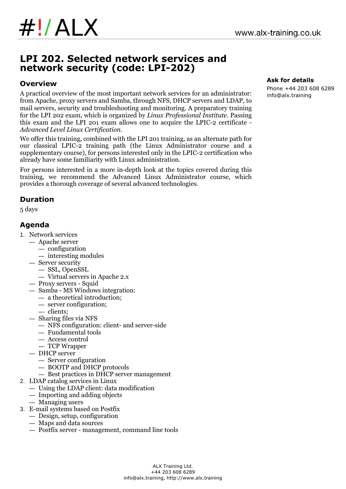# **LPI 202. Selected network services and network security (code: LPI-202)**

#### **Overview**

A practical overview of the most important network services for an administrator: from Apache, proxy servers and Samba, through NFS, DHCP servers and LDAP, to mail servers, security and troubleshooting and monitoring. A preparatory training for the LPI 202 exam, which is organized by *Linux Professional Institute*. Passing this exam and the LPI 201 exam allows one to acquire the LPIC-2 certificate - *Advanced Level Linux Certification*.

We offer this training, combined with the LPI 201 training, as an alternate path for our classical LPIC-2 training path (the Linux Administrator course and a supplementary course), for persons interested only in the LPIC-2 certification who already have some familiarity with Linux administration.

For persons interested in a more in-depth look at the topics covered during this training, we recommend the Advanced Linux Administrator course, which provides a thorough coverage of several advanced technologies.

# **Duration**

5 days

### **Agenda**

- 1. Network services
	- Apache server
		- configuration
		- interesting modules
	- Server security
		- SSL, OpenSSL
		- Virtual servers in Apache 2.x
	- Proxy servers Squid
	- Samba MS Windows integration:
		- a theoretical introduction;
		- server configuration;
		- clients;
	- Sharing files via NFS
		- NFS configuration: client- and server-side
		- Fundamental tools
		- Access control
		- TCP Wrapper
	- DHCP server
		- Server configuration
		- BOOTP and DHCP protocols
		- Best practices in DHCP server management
- 2. LDAP catalog services in Linux
	- Using the LDAP client: data modification
	- Importing and adding objects
	- Managing users
- 3. E-mail systems based on Postfix
	- Design, setup, configuration
	- Maps and data sources
	- Postfix server management, command line tools

### **Ask for details**

Phone +44 203 608 6289 info@alx.training